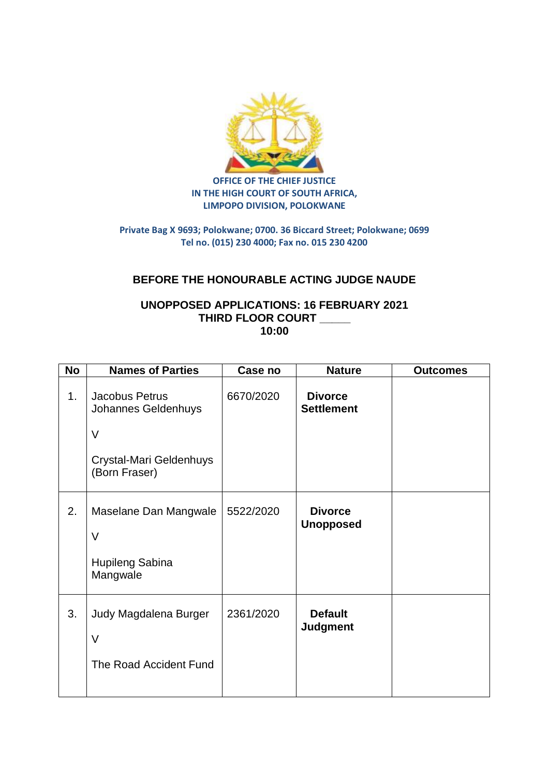

**OFFICE OF THE CHIEF JUSTICE IN THE HIGH COURT OF SOUTH AFRICA, LIMPOPO DIVISION, POLOKWANE**

## **Private Bag X 9693; Polokwane; 0700. 36 Biccard Street; Polokwane; 0699 Tel no. (015) 230 4000; Fax no. 015 230 4200**

## **BEFORE THE HONOURABLE ACTING JUDGE NAUDE**

## **UNOPPOSED APPLICATIONS: 16 FEBRUARY 2021 THIRD FLOOR COURT \_\_\_\_\_ 10:00**

| <b>No</b> | <b>Names of Parties</b>                                                                     | Case no   | <b>Nature</b>                       | <b>Outcomes</b> |
|-----------|---------------------------------------------------------------------------------------------|-----------|-------------------------------------|-----------------|
| 1.        | Jacobus Petrus<br>Johannes Geldenhuys<br>$\vee$<br>Crystal-Mari Geldenhuys<br>(Born Fraser) | 6670/2020 | <b>Divorce</b><br><b>Settlement</b> |                 |
| 2.        | Maselane Dan Mangwale<br>$\vee$<br><b>Hupileng Sabina</b><br>Mangwale                       | 5522/2020 | <b>Divorce</b><br><b>Unopposed</b>  |                 |
| 3.        | Judy Magdalena Burger<br>$\vee$<br>The Road Accident Fund                                   | 2361/2020 | <b>Default</b><br><b>Judgment</b>   |                 |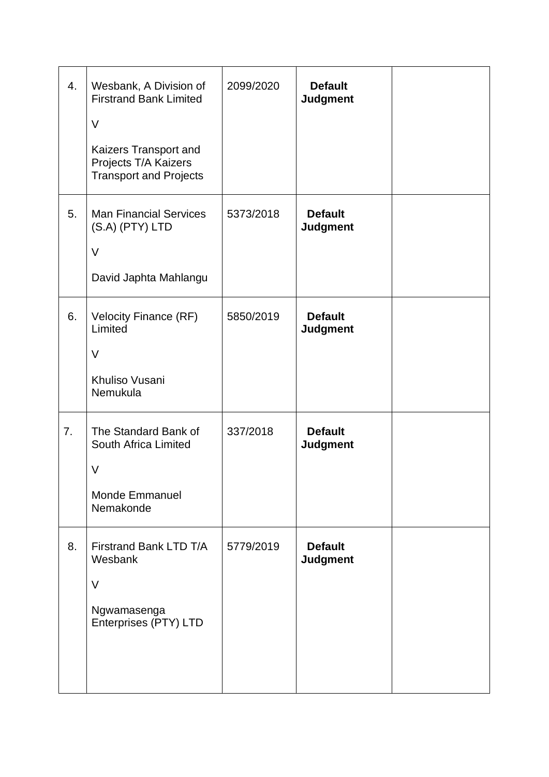| 4. | Wesbank, A Division of<br><b>Firstrand Bank Limited</b><br>$\vee$<br>Kaizers Transport and<br>Projects T/A Kaizers<br><b>Transport and Projects</b> | 2099/2020 | <b>Default</b><br><b>Judgment</b> |  |
|----|-----------------------------------------------------------------------------------------------------------------------------------------------------|-----------|-----------------------------------|--|
| 5. | <b>Man Financial Services</b><br>(S.A) (PTY) LTD<br>$\vee$<br>David Japhta Mahlangu                                                                 | 5373/2018 | <b>Default</b><br><b>Judgment</b> |  |
| 6. | <b>Velocity Finance (RF)</b><br>Limited<br>$\vee$<br>Khuliso Vusani<br>Nemukula                                                                     | 5850/2019 | <b>Default</b><br><b>Judgment</b> |  |
| 7. | The Standard Bank of<br>South Africa Limited<br>V<br><b>Monde Emmanuel</b><br>Nemakonde                                                             | 337/2018  | <b>Default</b><br><b>Judgment</b> |  |
| 8. | Firstrand Bank LTD T/A<br>Wesbank<br>$\vee$<br>Ngwamasenga<br>Enterprises (PTY) LTD                                                                 | 5779/2019 | <b>Default</b><br><b>Judgment</b> |  |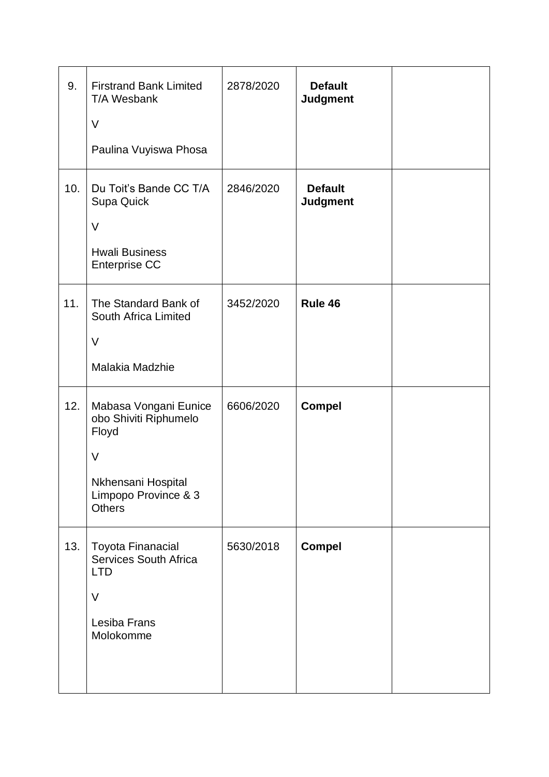| 9.  | <b>Firstrand Bank Limited</b><br>T/A Wesbank<br>$\vee$                                                                           | 2878/2020 | <b>Default</b><br><b>Judgment</b> |  |
|-----|----------------------------------------------------------------------------------------------------------------------------------|-----------|-----------------------------------|--|
|     | Paulina Vuyiswa Phosa                                                                                                            |           |                                   |  |
| 10. | Du Toit's Bande CC T/A<br>Supa Quick<br>$\vee$<br><b>Hwali Business</b><br><b>Enterprise CC</b>                                  | 2846/2020 | <b>Default</b><br><b>Judgment</b> |  |
| 11. | The Standard Bank of<br>South Africa Limited<br>$\vee$<br>Malakia Madzhie                                                        | 3452/2020 | Rule 46                           |  |
| 12. | Mabasa Vongani Eunice<br>obo Shiviti Riphumelo<br>Floyd<br>$\vee$<br>Nkhensani Hospital<br>Limpopo Province & 3<br><b>Others</b> | 6606/2020 | <b>Compel</b>                     |  |
| 13. | <b>Toyota Finanacial</b><br><b>Services South Africa</b><br><b>LTD</b><br>$\vee$<br>Lesiba Frans<br>Molokomme                    | 5630/2018 | <b>Compel</b>                     |  |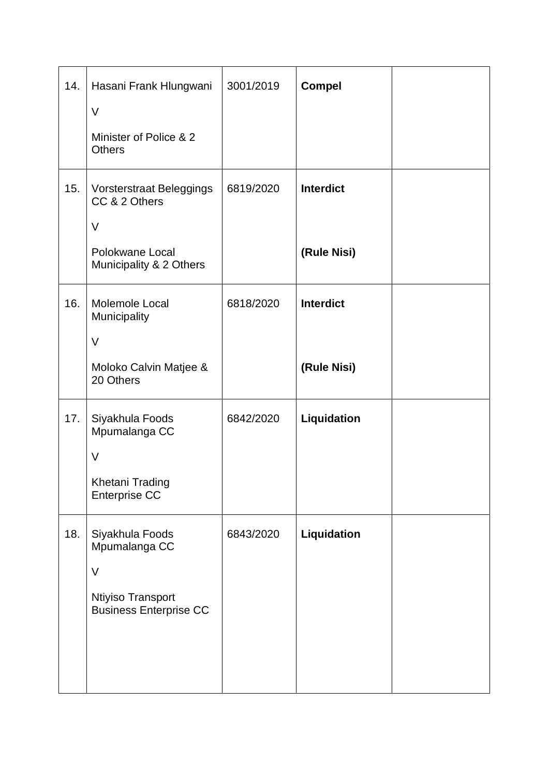| 14. | Hasani Frank Hlungwani<br>$\vee$                     | 3001/2019 | <b>Compel</b>    |  |
|-----|------------------------------------------------------|-----------|------------------|--|
|     | Minister of Police & 2<br><b>Others</b>              |           |                  |  |
| 15. | Vorsterstraat Beleggings<br>CC & 2 Others            | 6819/2020 | <b>Interdict</b> |  |
|     | $\vee$<br>Polokwane Local<br>Municipality & 2 Others |           | (Rule Nisi)      |  |
| 16. | Molemole Local<br>Municipality                       | 6818/2020 | <b>Interdict</b> |  |
|     | $\vee$                                               |           |                  |  |
|     | Moloko Calvin Matjee &<br>20 Others                  |           | (Rule Nisi)      |  |
| 17. | Siyakhula Foods<br>Mpumalanga CC<br>$\vee$           | 6842/2020 | Liquidation      |  |
|     | Khetani Trading<br><b>Enterprise CC</b>              |           |                  |  |
| 18. | Siyakhula Foods<br>Mpumalanga CC<br>$\vee$           | 6843/2020 | Liquidation      |  |
|     | Ntiyiso Transport<br><b>Business Enterprise CC</b>   |           |                  |  |
|     |                                                      |           |                  |  |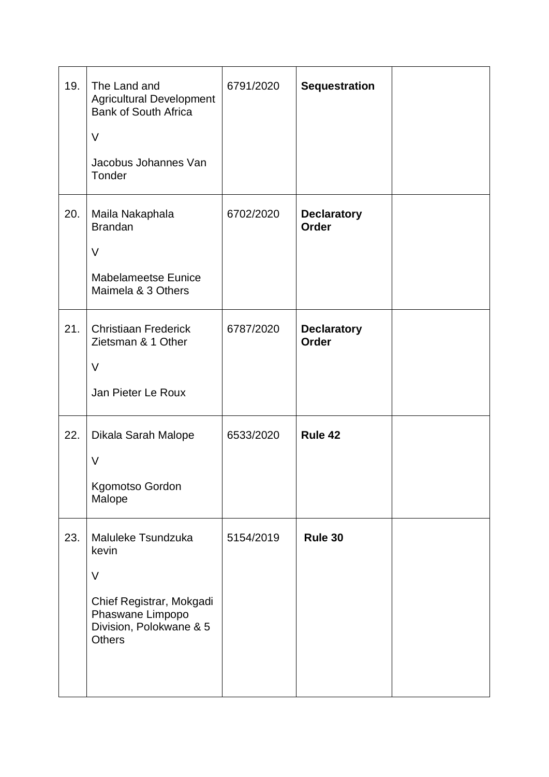| 19. | The Land and<br><b>Agricultural Development</b><br><b>Bank of South Africa</b><br>$\vee$<br>Jacobus Johannes Van<br>Tonder        | 6791/2020 | <b>Sequestration</b>               |  |
|-----|-----------------------------------------------------------------------------------------------------------------------------------|-----------|------------------------------------|--|
| 20. | Maila Nakaphala<br><b>Brandan</b><br>$\vee$<br><b>Mabelameetse Eunice</b><br>Maimela & 3 Others                                   | 6702/2020 | <b>Declaratory</b><br>Order        |  |
| 21. | <b>Christiaan Frederick</b><br>Zietsman & 1 Other<br>V<br>Jan Pieter Le Roux                                                      | 6787/2020 | <b>Declaratory</b><br><b>Order</b> |  |
| 22. | Dikala Sarah Malope<br>$\vee$<br>Kgomotso Gordon<br>Malope                                                                        | 6533/2020 | Rule 42                            |  |
| 23. | Maluleke Tsundzuka<br>kevin<br>$\vee$<br>Chief Registrar, Mokgadi<br>Phaswane Limpopo<br>Division, Polokwane & 5<br><b>Others</b> | 5154/2019 | Rule 30                            |  |